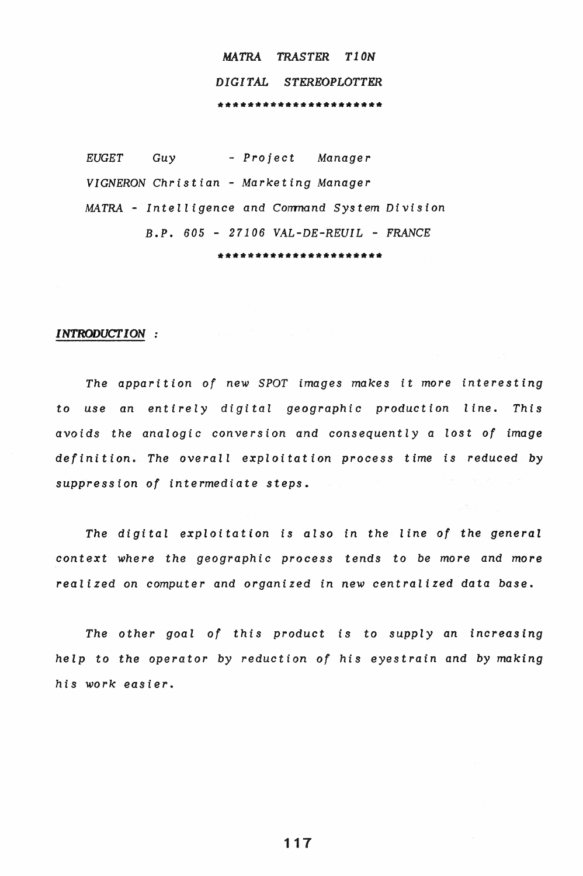# *MATRA TRASTER Tl0N DIGITAL STEREOPLOTTER*  \*\*\*\*\*\*\*\*\*\*\*\*\*\*\*\*\*\*\*\*\*\*

*EUGET Guy* - *Project Manager VIGNERON Christian* - *Marketing Manager MATRA - Intelligence and Command System Division B.P. 605* - *27106 VAL-DE-REUIL* - *FRANCE*  \*\*\*\*\*\*\*\*\*\*\*\*\*\*\*\*\*\*\*\*\*

#### *INTRODUCTION*

*The apparition of new SPOT images makes it more interesting*  to *use an entirely digital geographic production line. This avoids the analogic conversion and consequently* a *lost of image*  definition. The overall exploitation process time is reduced by *suppression of intermediate steps.* 

*The digital exploitation is also in the line of the general*  context *where the geographic process tends* to *be more* and *more realized* on *computer and* organized in *new centralized* data *base.* 

*The other goal of this product is* to *supply* an *increasing help* to *the operator by reduction of his eyestrain* and *by making his work easier.* 

117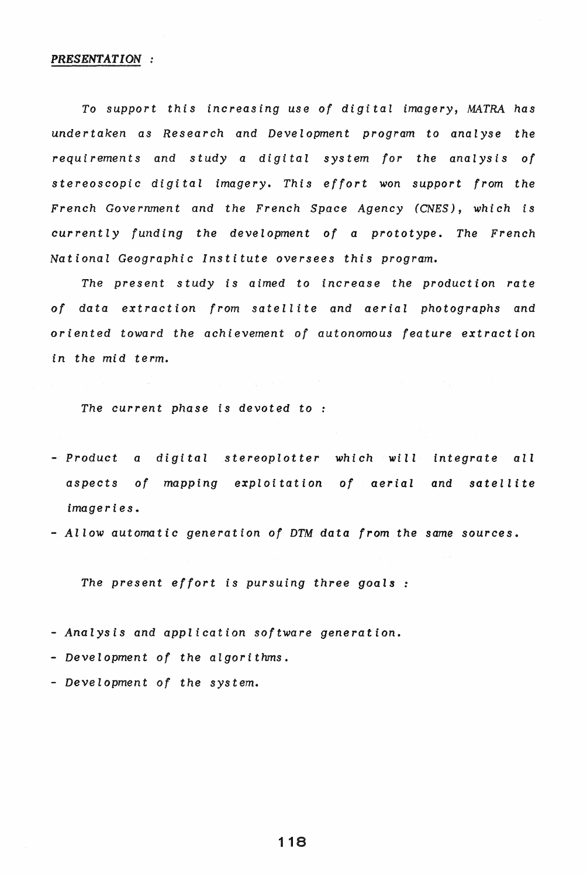#### *PRESENTATION*

*To support this increasing use of digital imagery, MATRA has undertaken as Research and Development program* to *analyse the requirements and study* a *digital system for the analysis of stereoscopic digital imagery. This effort won support from the French Government and the French Space Agency (CNES)* , *which is currently funding the development of* a *prototype. The French National Geographic Institute oversees this program.* 

*The present study is aimed* to *increase the production rate*  of data extraction from satellite and aerial photographs and *oriented toward the achievement of autonomous feature extraction in the mid term.* 

*The current phase is devoted to* 

- *- Product* a *digital stereoplotter which will integrate all aspects of mapping exploitation of aerial and satellite imageries.*
- $-$  *Allow automatic generation of DTM data from the same sources.*

*The present effort is pursuing three goals* 

*- Analysis and application software generation.* 

*- Development of the algorithms.* 

*- Development of the system.*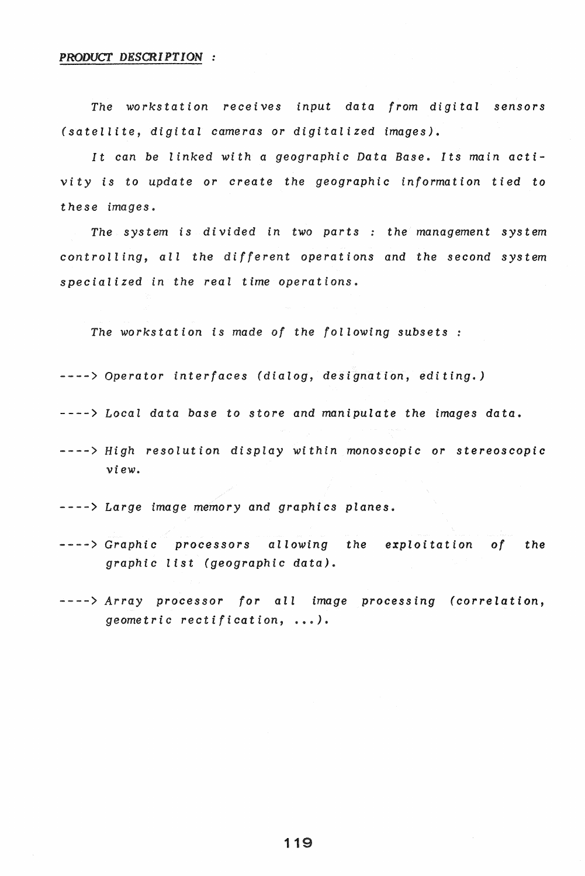*The workstation receives input data from digital sensors (satellite, digital cameras* or *digitalized images).* 

*It* can be *linked with* a *geographic Data Base. Its main activity* is to update or create the geographic information tied to  $$ 

*The system is divided in two parts: the management system controlling, all the different operations and the second system specialized in the real time operations.* 

*The workstation is made of the following subsets* 

----) *Operator interfaces (dialog, designation, editing.)* 

----) *Local data base* to *store and manipulate the images data.* 

----> *High resolution display within monoscopic or stereoscopic* view ..

----) *Large image memory and graphics planes.* 

- ----) *Graphic processors allowing the exploitation of the graphic list (geographic data).*
- - -) *A* r *ray pro* c e *s so* r *for* a I *1 i* rna *g* e pro c e *s sin g* ( *cor reI* a t *ion, geometric rectification,* .... ).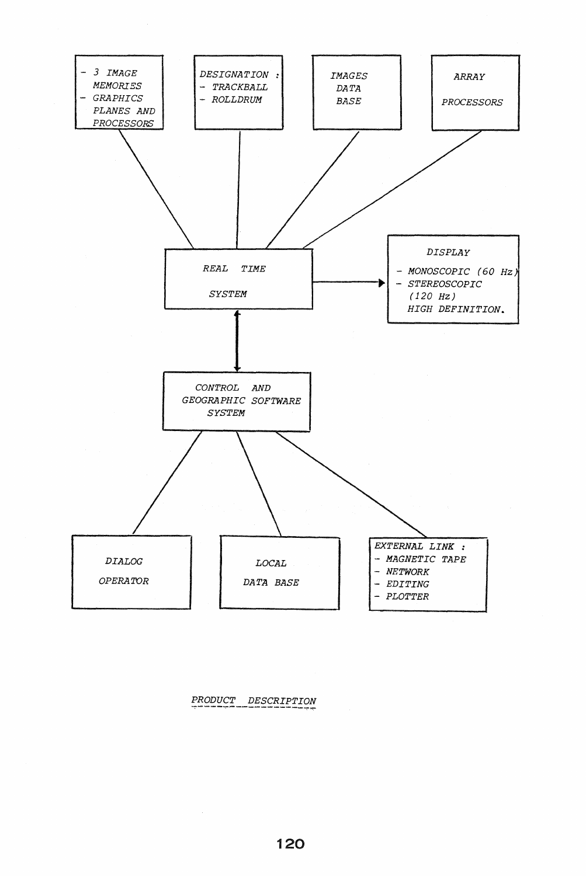

PRODUCT DESCRIPTION

 $\sim$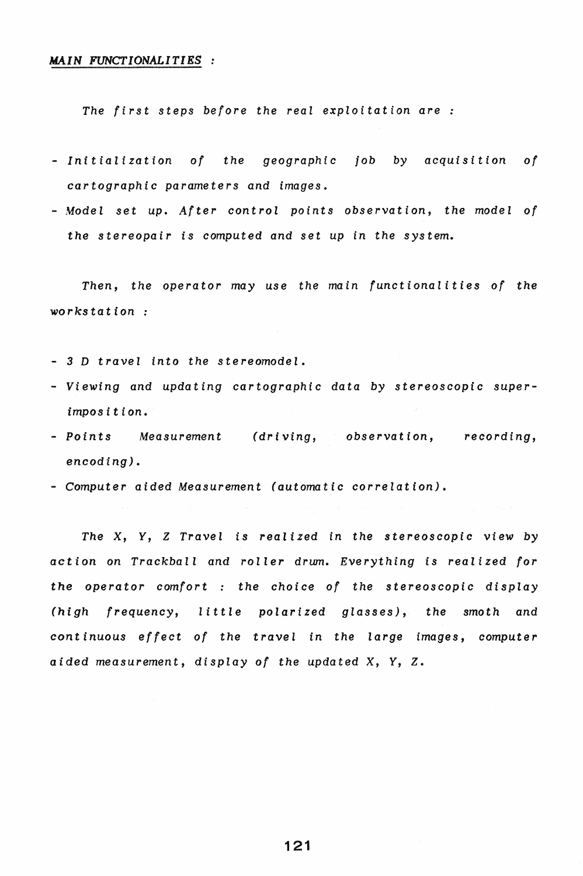## MAIN *FUNCTIONALITIES*

*The first steps before the real exploitation are* 

- *- Initialization of the geographic job* by *acquisition of cartographic parameters and images.*
- Model set up. After control points observation, the model of *the stereopair is computed and set up in the system.*

*Then, the operator may use the main functionalities of the 'Workstation:* 

- 3 D travel into the stereomodel.
- *- Viewing* and *updating cartographic data* by *stereoscopic superimposition.*
- *- Points Measurement (driving,* observation, *recording,*  encoding).
- *- Computer aided Measurement (automatic correlation).*

*The* X, Y, *Z Travel is realized* in *the stereoscopic view* by action on *Trackball and roller drwn. Everything is realized for the operator comfort* : the choice of the stereoscopic display *(high frequency, little polarized glasses), the smoth* and continuous effect of the travel in the large images, computer *aided measurement, display of the updated* X, *Y, Z.* 

121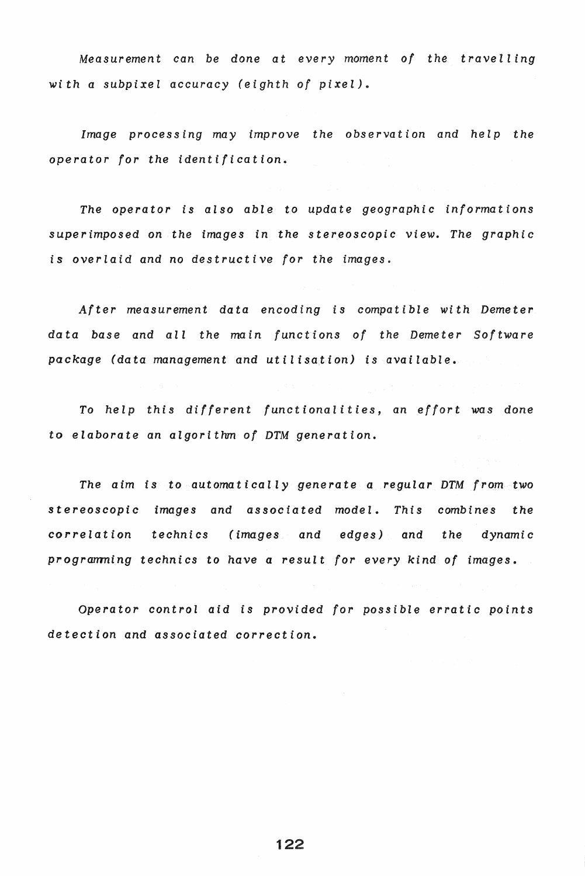*Measurement* can be done at every moment of the travelling *with* a *subpixel accuracy (eighth of pixel).* 

*Image processing may improve the observation and help the* operator *for the identification.* 

*The operator is also able to update geographic informations superimposed* on *the images in the stereoscopic view. The graphic is overlaid and* no *destructive for the images.* 

*After measurement data encoding is compatible with Demeter data base and all the main functions of the Demeter Software package (data management and utilisation) is available.* 

*To he 1* p t *his* d *iff ere* n t *fun* c <sup>t</sup>*ion a lit i* e *s,* an e *f for* t wa s don e to *elaborate* an *algorithm of DTM generation.* 

*The aim is* to *automatically generate a regular DTM from* two *stereoscopic images and associated model. This combines the correlation technics (images and edges) and the dynamic progrmnning technics* to have *a result for every kind of images.* 

*Operator control aid is* provided *for possible erratic points detection* and *associated correction.* 

122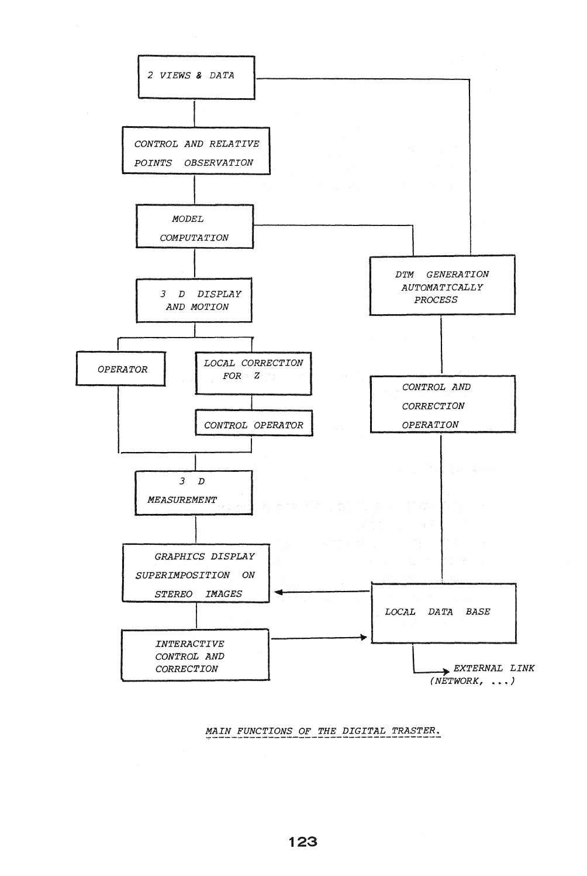

*MAIN FUNCTIONS OF THE DIGITAL TRASTER.* ~---------------------~---------------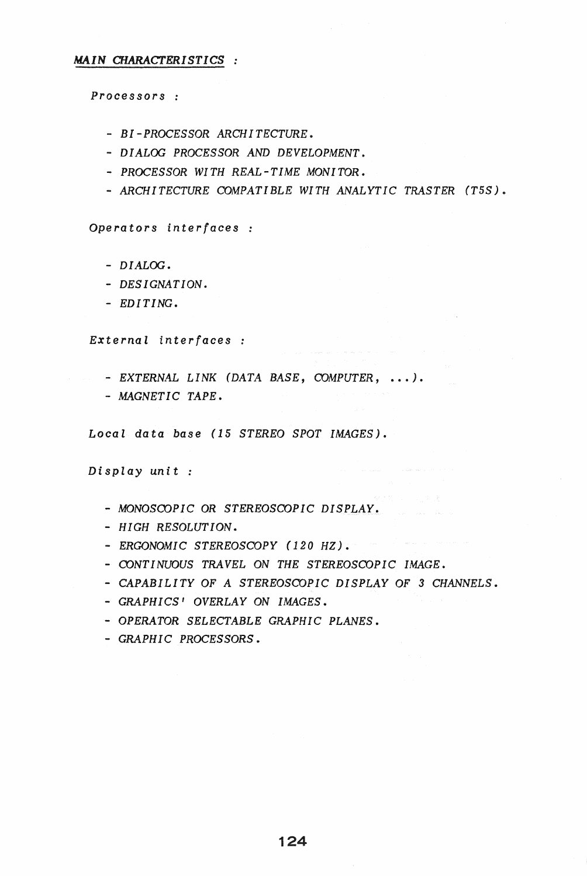## *MAIN CHARACTERISTICS*

*Processors :* 

- *- BI-PROCESSOR ARCHITECTURE.*
- *- DIALOG PROCESSOR AND DEVELOPMENT.*
- *- PROCESSOR WITH REAL-TIME MONITOR.*
- *- ARCHITECTURE COMPATIBLE WITH ANALYTIC TRASTER (T5S).*

*Operators interfaces* 

- *- DIALOG.*
- *- DESIGNATION.*
- *- EDITING.*

*External interfaces* 

- *- EXTERNAL LINK (DATA BASE, COMPUTER,* ... ).
- *- MAGNETIC TAPE.*

*Local data base* (15 *STEREO SPOT IMAGES).* 

*Display unit :* 

- *- MONOSCOPIC* OR *STEREOSCOPIC DISPLAY.*
- *- HIGH RESOLUTION.*
- *ERGONOMIC STEREOSCOPY* (120 HZ).
- *- CONTINUOUS TRAVEL* ON *THE STEREOSCOPIC IMAGE.*
- *- CAPABILITY* OF *A STEREOSCOPIC DISPLAY* OF 3 *CHANNELS.*
- *- GRAPHICS' OVERLAY* ON *IMAGES.*
- *- OPERATOR SELECTABLE GRAPHIC PLANES.*
- *- GRAPHIC PROCESSORS.*